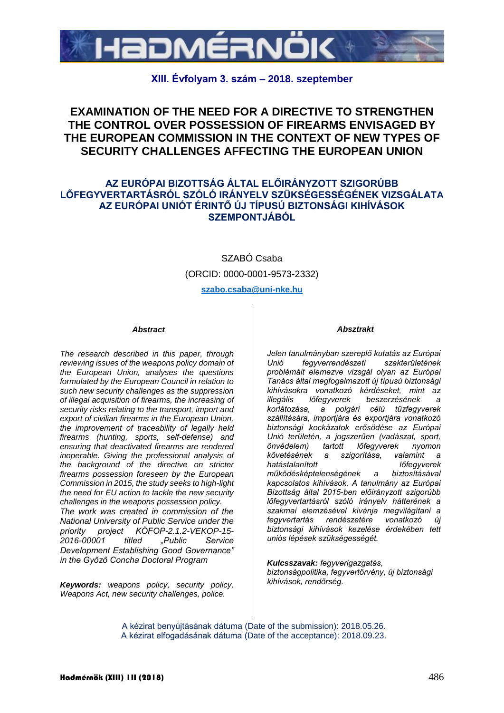

## **XIII. Évfolyam 3. szám – 2018. szeptember**

# **EXAMINATION OF THE NEED FOR A DIRECTIVE TO STRENGTHEN THE CONTROL OVER POSSESSION OF FIREARMS ENVISAGED BY THE EUROPEAN COMMISSION IN THE CONTEXT OF NEW TYPES OF SECURITY CHALLENGES AFFECTING THE EUROPEAN UNION**

### **AZ EURÓPAI BIZOTTSÁG ÁLTAL ELŐIRÁNYZOTT SZIGORÚBB LŐFEGYVERTARTÁSRÓL SZÓLÓ IRÁNYELV SZÜKSÉGESSÉGÉNEK VIZSGÁLATA AZ EURÓPAI UNIÓT ÉRINTŐ ÚJ TÍPUSÚ BIZTONSÁGI KIHÍVÁSOK SZEMPONTJÁBÓL**

SZABÓ Csaba

(ORCID: 0000-0001-9573-2332)

**szabo.csaba@uni-nke.hu**

#### *Abstract*

*The research described in this paper, through reviewing issues of the weapons policy domain of the European Union, analyses the questions formulated by the European Council in relation to such new security challenges as the suppression of illegal acquisition of firearms, the increasing of security risks relating to the transport, import and export of civilian firearms in the European Union, the improvement of traceability of legally held firearms (hunting, sports, self-defense) and ensuring that deactivated firearms are rendered inoperable. Giving the professional analysis of the background of the directive on stricter firearms possession foreseen by the European Commission in 2015, the study seeks to high-light the need for EU action to tackle the new security challenges in the weapons possession policy. The work was created in commission of the* 

*National University of Public Service under the priority project KÖFOP-2.1.2-VEKOP-15- 2016-00001 titled "Public Service Development Establishing Good Governance" in the Győző Concha Doctoral Program*

*Keywords: weapons policy, security policy, Weapons Act, new security challenges, police.*

#### *Absztrakt*

*Jelen tanulmányban szereplő kutatás az Európai Unió fegyverrendészeti szakterületének problémáit elemezve vizsgál olyan az Európai Tanács által megfogalmazott új típusú biztonsági kihívásokra vonatkozó kérdéseket, mint az illegális lőfegyverek beszerzésének a korlátozása, a polgári célú tűzfegyverek szállítására, importjára és exportjára vonatkozó biztonsági kockázatok erősödése az Európai Unió területén, a jogszerűen (vadászat, sport, önvédelem) tartott lőfegyverek nyomon követésének a szigorítása, valamint a hatástalanított lőfegyverek működésképtelenségének a biztosításával kapcsolatos kihívások. A tanulmány az Európai Bizottság által 2015-ben előirányzott szigorúbb lőfegyvertartásról szóló irányelv hátterének a szakmai elemzésével kívánja megvilágítani a fegyvertartás rendészetére vonatkozó új biztonsági kihívások kezelése érdekében tett uniós lépések szükségességét.* 

*Kulcsszavak: fegyverigazgatás, biztonságpolitika, fegyvertörvény, új biztonsági kihívások, rendőrség.*

A kézirat benyújtásának dátuma (Date of the submission): 2018.05.26. A kézirat elfogadásának dátuma (Date of the acceptance): 2018.09.23.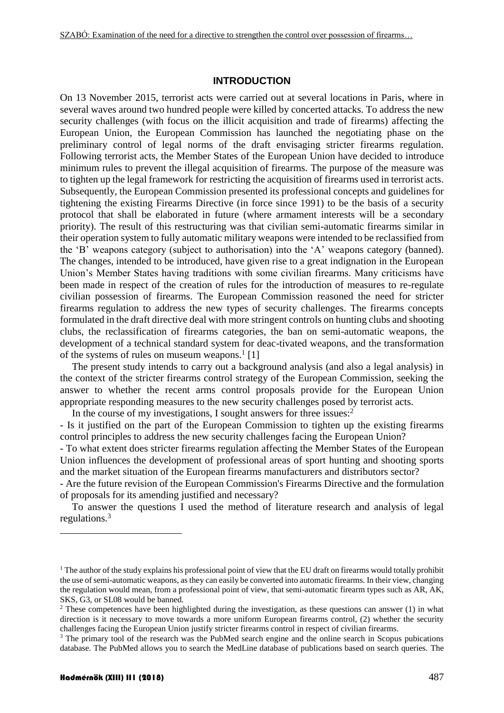#### **INTRODUCTION**

On 13 November 2015, terrorist acts were carried out at several locations in Paris, where in several waves around two hundred people were killed by concerted attacks. To address the new security challenges (with focus on the illicit acquisition and trade of firearms) affecting the European Union, the European Commission has launched the negotiating phase on the preliminary control of legal norms of the draft envisaging stricter firearms regulation. Following terrorist acts, the Member States of the European Union have decided to introduce minimum rules to prevent the illegal acquisition of firearms. The purpose of the measure was to tighten up the legal framework for restricting the acquisition of firearms used in terrorist acts. Subsequently, the European Commission presented its professional concepts and guidelines for tightening the existing Firearms Directive (in force since 1991) to be the basis of a security protocol that shall be elaborated in future (where armament interests will be a secondary priority). The result of this restructuring was that civilian semi-automatic firearms similar in their operation system to fully automatic military weapons were intended to be reclassified from the 'B' weapons category (subject to authorisation) into the 'A' weapons category (banned). The changes, intended to be introduced, have given rise to a great indignation in the European Union's Member States having traditions with some civilian firearms. Many criticisms have been made in respect of the creation of rules for the introduction of measures to re-regulate civilian possession of firearms. The European Commission reasoned the need for stricter firearms regulation to address the new types of security challenges. The firearms concepts formulated in the draft directive deal with more stringent controls on hunting clubs and shooting clubs, the reclassification of firearms categories, the ban on semi-automatic weapons, the development of a technical standard system for deac-tivated weapons, and the transformation of the systems of rules on museum weapons. $1$ [1]

The present study intends to carry out a background analysis (and also a legal analysis) in the context of the stricter firearms control strategy of the European Commission, seeking the answer to whether the recent arms control proposals provide for the European Union appropriate responding measures to the new security challenges posed by terrorist acts.

In the course of my investigations, I sought answers for three issues: $2$ 

- Is it justified on the part of the European Commission to tighten up the existing firearms control principles to address the new security challenges facing the European Union?

- To what extent does stricter firearms regulation affecting the Member States of the European Union influences the development of professional areas of sport hunting and shooting sports and the market situation of the European firearms manufacturers and distributors sector?

- Are the future revision of the European Commission's Firearms Directive and the formulation of proposals for its amending justified and necessary?

To answer the questions I used the method of literature research and analysis of legal regulations.<sup>3</sup>

<u>.</u>

 $<sup>1</sup>$  The author of the study explains his professional point of view that the EU draft on firearms would totally prohibit</sup> the use of semi-automatic weapons, as they can easily be converted into automatic firearms. In their view, changing the regulation would mean, from a professional point of view, that semi-automatic firearm types such as AR, AK, SKS, G3, or SL08 would be banned.

<sup>&</sup>lt;sup>2</sup> These competences have been highlighted during the investigation, as these questions can answer (1) in what direction is it necessary to move towards a more uniform European firearms control, (2) whether the security challenges facing the European Union justify stricter firearms control in respect of civilian firearms.

<sup>&</sup>lt;sup>3</sup> The primary tool of the research was the PubMed search engine and the online search in Scopus pubications database. The PubMed allows you to search the MedLine database of publications based on search queries. The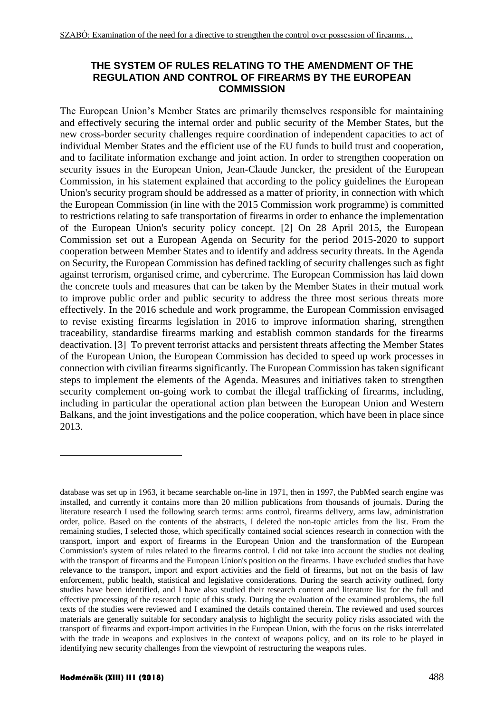## **THE SYSTEM OF RULES RELATING TO THE AMENDMENT OF THE REGULATION AND CONTROL OF FIREARMS BY THE EUROPEAN COMMISSION**

The European Union's Member States are primarily themselves responsible for maintaining and effectively securing the internal order and public security of the Member States, but the new cross-border security challenges require coordination of independent capacities to act of individual Member States and the efficient use of the EU funds to build trust and cooperation, and to facilitate information exchange and joint action. In order to strengthen cooperation on security issues in the European Union, Jean-Claude Juncker, the president of the European Commission, in his statement explained that according to the policy guidelines the European Union's security program should be addressed as a matter of priority, in connection with which the European Commission (in line with the 2015 Commission work programme) is committed to restrictions relating to safe transportation of firearms in order to enhance the implementation of the European Union's security policy concept. [2] On 28 April 2015, the European Commission set out a European Agenda on Security for the period 2015-2020 to support cooperation between Member States and to identify and address security threats. In the Agenda on Security, the European Commission has defined tackling of security challenges such as fight against terrorism, organised crime, and cybercrime. The European Commission has laid down the concrete tools and measures that can be taken by the Member States in their mutual work to improve public order and public security to address the three most serious threats more effectively. In the 2016 schedule and work programme, the European Commission envisaged to revise existing firearms legislation in 2016 to improve information sharing, strengthen traceability, standardise firearms marking and establish common standards for the firearms deactivation. [3] To prevent terrorist attacks and persistent threats affecting the Member States of the European Union, the European Commission has decided to speed up work processes in connection with civilian firearms significantly. The European Commission has taken significant steps to implement the elements of the Agenda. Measures and initiatives taken to strengthen security complement on-going work to combat the illegal trafficking of firearms, including, including in particular the operational action plan between the European Union and Western Balkans, and the joint investigations and the police cooperation, which have been in place since 2013.

1

database was set up in 1963, it became searchable on-line in 1971, then in 1997, the PubMed search engine was installed, and currently it contains more than 20 million publications from thousands of journals. During the literature research I used the following search terms: arms control, firearms delivery, arms law, administration order, police. Based on the contents of the abstracts, I deleted the non-topic articles from the list. From the remaining studies, I selected those, which specifically contained social sciences research in connection with the transport, import and export of firearms in the European Union and the transformation of the European Commission's system of rules related to the firearms control. I did not take into account the studies not dealing with the transport of firearms and the European Union's position on the firearms. I have excluded studies that have relevance to the transport, import and export activities and the field of firearms, but not on the basis of law enforcement, public health, statistical and legislative considerations. During the search activity outlined, forty studies have been identified, and I have also studied their research content and literature list for the full and effective processing of the research topic of this study. During the evaluation of the examined problems, the full texts of the studies were reviewed and I examined the details contained therein. The reviewed and used sources materials are generally suitable for secondary analysis to highlight the security policy risks associated with the transport of firearms and export-import activities in the European Union, with the focus on the risks interrelated with the trade in weapons and explosives in the context of weapons policy, and on its role to be played in identifying new security challenges from the viewpoint of restructuring the weapons rules.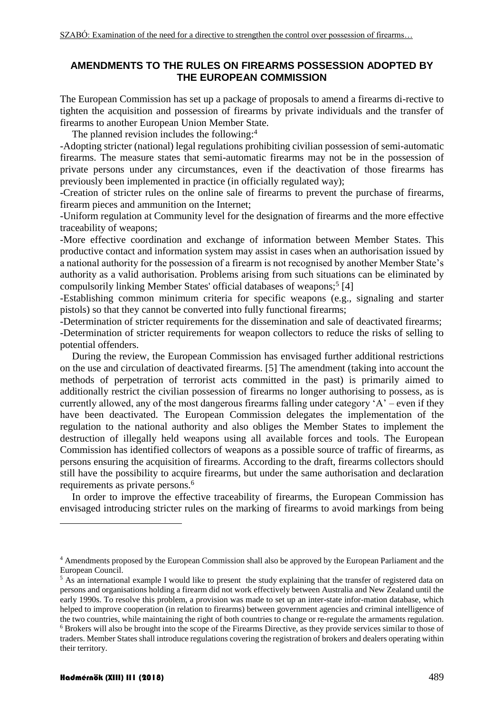### **AMENDMENTS TO THE RULES ON FIREARMS POSSESSION ADOPTED BY THE EUROPEAN COMMISSION**

The European Commission has set up a package of proposals to amend a firearms di-rective to tighten the acquisition and possession of firearms by private individuals and the transfer of firearms to another European Union Member State.

The planned revision includes the following:<sup>4</sup>

-Adopting stricter (national) legal regulations prohibiting civilian possession of semi-automatic firearms. The measure states that semi-automatic firearms may not be in the possession of private persons under any circumstances, even if the deactivation of those firearms has previously been implemented in practice (in officially regulated way);

-Creation of stricter rules on the online sale of firearms to prevent the purchase of firearms, firearm pieces and ammunition on the Internet;

-Uniform regulation at Community level for the designation of firearms and the more effective traceability of weapons;

-More effective coordination and exchange of information between Member States. This productive contact and information system may assist in cases when an authorisation issued by a national authority for the possession of a firearm is not recognised by another Member State's authority as a valid authorisation. Problems arising from such situations can be eliminated by compulsorily linking Member States' official databases of weapons;<sup>5</sup> [4]

-Establishing common minimum criteria for specific weapons (e.g., signaling and starter pistols) so that they cannot be converted into fully functional firearms;

-Determination of stricter requirements for the dissemination and sale of deactivated firearms; -Determination of stricter requirements for weapon collectors to reduce the risks of selling to potential offenders.

During the review, the European Commission has envisaged further additional restrictions on the use and circulation of deactivated firearms. [5] The amendment (taking into account the methods of perpetration of terrorist acts committed in the past) is primarily aimed to additionally restrict the civilian possession of firearms no longer authorising to possess, as is currently allowed, any of the most dangerous firearms falling under category 'A' – even if they have been deactivated. The European Commission delegates the implementation of the regulation to the national authority and also obliges the Member States to implement the destruction of illegally held weapons using all available forces and tools. The European Commission has identified collectors of weapons as a possible source of traffic of firearms, as persons ensuring the acquisition of firearms. According to the draft, firearms collectors should still have the possibility to acquire firearms, but under the same authorisation and declaration requirements as private persons.<sup>6</sup>

In order to improve the effective traceability of firearms, the European Commission has envisaged introducing stricter rules on the marking of firearms to avoid markings from being

1

<sup>4</sup> Amendments proposed by the European Commission shall also be approved by the European Parliament and the European Council.

<sup>&</sup>lt;sup>5</sup> As an international example I would like to present the study explaining that the transfer of registered data on persons and organisations holding a firearm did not work effectively between Australia and New Zealand until the early 1990s. To resolve this problem, a provision was made to set up an inter-state infor-mation database, which helped to improve cooperation (in relation to firearms) between government agencies and criminal intelligence of the two countries, while maintaining the right of both countries to change or re-regulate the armaments regulation.

<sup>6</sup> Brokers will also be brought into the scope of the Firearms Directive, as they provide services similar to those of traders. Member States shall introduce regulations covering the registration of brokers and dealers operating within their territory.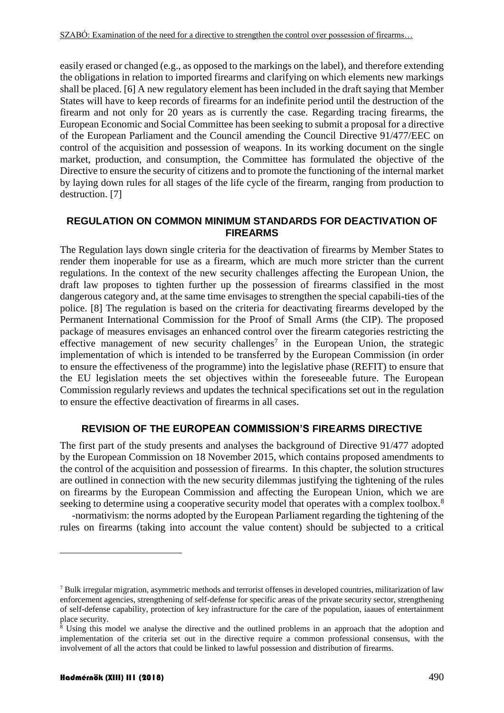easily erased or changed (e.g., as opposed to the markings on the label), and therefore extending the obligations in relation to imported firearms and clarifying on which elements new markings shall be placed. [6] A new regulatory element has been included in the draft saying that Member States will have to keep records of firearms for an indefinite period until the destruction of the firearm and not only for 20 years as is currently the case. Regarding tracing firearms, the European Economic and Social Committee has been seeking to submit a proposal for a directive of the European Parliament and the Council amending the Council Directive 91/477/EEC on control of the acquisition and possession of weapons. In its working document on the single market, production, and consumption, the Committee has formulated the objective of the Directive to ensure the security of citizens and to promote the functioning of the internal market by laying down rules for all stages of the life cycle of the firearm, ranging from production to destruction. [7]

### **REGULATION ON COMMON MINIMUM STANDARDS FOR DEACTIVATION OF FIREARMS**

The Regulation lays down single criteria for the deactivation of firearms by Member States to render them inoperable for use as a firearm, which are much more stricter than the current regulations. In the context of the new security challenges affecting the European Union, the draft law proposes to tighten further up the possession of firearms classified in the most dangerous category and, at the same time envisages to strengthen the special capabili-ties of the police. [8] The regulation is based on the criteria for deactivating firearms developed by the Permanent International Commission for the Proof of Small Arms (the CIP). The proposed package of measures envisages an enhanced control over the firearm categories restricting the effective management of new security challenges<sup>7</sup> in the European Union, the strategic implementation of which is intended to be transferred by the European Commission (in order to ensure the effectiveness of the programme) into the legislative phase (REFIT) to ensure that the EU legislation meets the set objectives within the foreseeable future. The European Commission regularly reviews and updates the technical specifications set out in the regulation to ensure the effective deactivation of firearms in all cases.

## **REVISION OF THE EUROPEAN COMMISSION'S FIREARMS DIRECTIVE**

The first part of the study presents and analyses the background of Directive 91/477 adopted by the European Commission on 18 November 2015, which contains proposed amendments to the control of the acquisition and possession of firearms. In this chapter, the solution structures are outlined in connection with the new security dilemmas justifying the tightening of the rules on firearms by the European Commission and affecting the European Union, which we are seeking to determine using a cooperative security model that operates with a complex toolbox.<sup>8</sup>

-normativism: the norms adopted by the European Parliament regarding the tightening of the rules on firearms (taking into account the value content) should be subjected to a critical

1

 $^7$  Bulk irregular migration, asymmetric methods and terrorist offenses in developed countries, militarization of law enforcement agencies, strengthening of self-defense for specific areas of the private security sector, strengthening of self-defense capability, protection of key infrastructure for the care of the population, iaaues of entertainment place security.

 $8$  Using this model we analyse the directive and the outlined problems in an approach that the adoption and implementation of the criteria set out in the directive require a common professional consensus, with the involvement of all the actors that could be linked to lawful possession and distribution of firearms.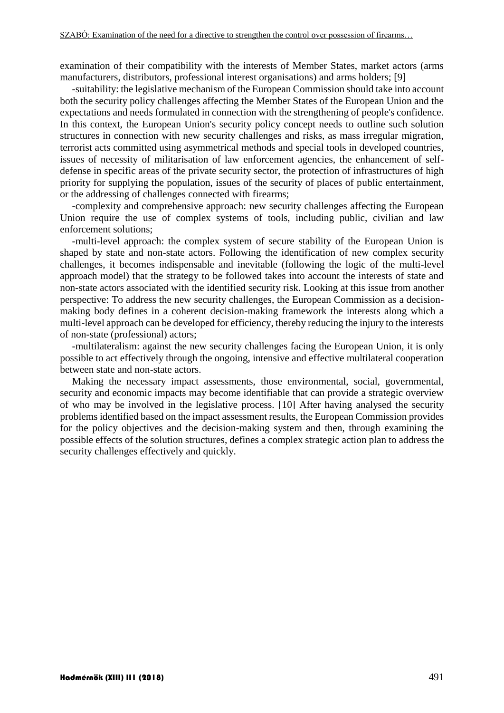examination of their compatibility with the interests of Member States, market actors (arms manufacturers, distributors, professional interest organisations) and arms holders; [9]

-suitability: the legislative mechanism of the European Commission should take into account both the security policy challenges affecting the Member States of the European Union and the expectations and needs formulated in connection with the strengthening of people's confidence. In this context, the European Union's security policy concept needs to outline such solution structures in connection with new security challenges and risks, as mass irregular migration, terrorist acts committed using asymmetrical methods and special tools in developed countries, issues of necessity of militarisation of law enforcement agencies, the enhancement of selfdefense in specific areas of the private security sector, the protection of infrastructures of high priority for supplying the population, issues of the security of places of public entertainment, or the addressing of challenges connected with firearms;

-complexity and comprehensive approach: new security challenges affecting the European Union require the use of complex systems of tools, including public, civilian and law enforcement solutions;

-multi-level approach: the complex system of secure stability of the European Union is shaped by state and non-state actors. Following the identification of new complex security challenges, it becomes indispensable and inevitable (following the logic of the multi-level approach model) that the strategy to be followed takes into account the interests of state and non-state actors associated with the identified security risk. Looking at this issue from another perspective: To address the new security challenges, the European Commission as a decisionmaking body defines in a coherent decision-making framework the interests along which a multi-level approach can be developed for efficiency, thereby reducing the injury to the interests of non-state (professional) actors;

-multilateralism: against the new security challenges facing the European Union, it is only possible to act effectively through the ongoing, intensive and effective multilateral cooperation between state and non-state actors.

Making the necessary impact assessments, those environmental, social, governmental, security and economic impacts may become identifiable that can provide a strategic overview of who may be involved in the legislative process. [10] After having analysed the security problems identified based on the impact assessment results, the European Commission provides for the policy objectives and the decision-making system and then, through examining the possible effects of the solution structures, defines a complex strategic action plan to address the security challenges effectively and quickly.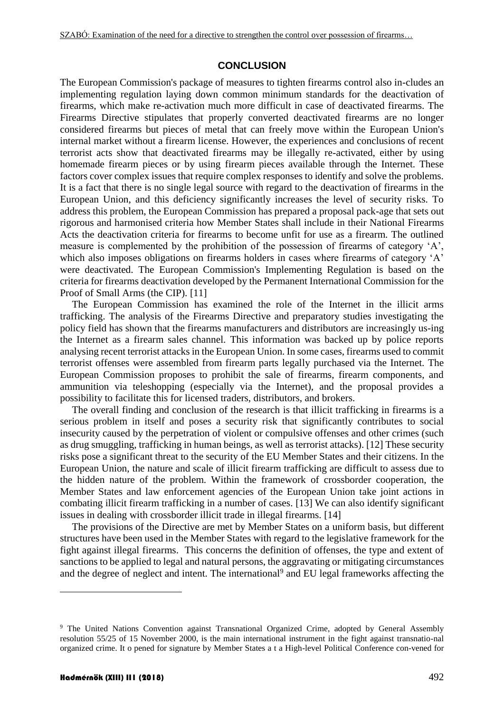#### **CONCLUSION**

The European Commission's package of measures to tighten firearms control also in-cludes an implementing regulation laying down common minimum standards for the deactivation of firearms, which make re-activation much more difficult in case of deactivated firearms. The Firearms Directive stipulates that properly converted deactivated firearms are no longer considered firearms but pieces of metal that can freely move within the European Union's internal market without a firearm license. However, the experiences and conclusions of recent terrorist acts show that deactivated firearms may be illegally re-activated, either by using homemade firearm pieces or by using firearm pieces available through the Internet. These factors cover complex issues that require complex responses to identify and solve the problems. It is a fact that there is no single legal source with regard to the deactivation of firearms in the European Union, and this deficiency significantly increases the level of security risks. To address this problem, the European Commission has prepared a proposal pack-age that sets out rigorous and harmonised criteria how Member States shall include in their National Firearms Acts the deactivation criteria for firearms to become unfit for use as a firearm. The outlined measure is complemented by the prohibition of the possession of firearms of category 'A', which also imposes obligations on firearms holders in cases where firearms of category 'A' were deactivated. The European Commission's Implementing Regulation is based on the criteria for firearms deactivation developed by the Permanent International Commission for the Proof of Small Arms (the CIP). [11]

The European Commission has examined the role of the Internet in the illicit arms trafficking. The analysis of the Firearms Directive and preparatory studies investigating the policy field has shown that the firearms manufacturers and distributors are increasingly us-ing the Internet as a firearm sales channel. This information was backed up by police reports analysing recent terrorist attacks in the European Union. In some cases, firearms used to commit terrorist offenses were assembled from firearm parts legally purchased via the Internet. The European Commission proposes to prohibit the sale of firearms, firearm components, and ammunition via teleshopping (especially via the Internet), and the proposal provides a possibility to facilitate this for licensed traders, distributors, and brokers.

The overall finding and conclusion of the research is that illicit trafficking in firearms is a serious problem in itself and poses a security risk that significantly contributes to social insecurity caused by the perpetration of violent or compulsive offenses and other crimes (such as drug smuggling, trafficking in human beings, as well as terrorist attacks). [12] These security risks pose a significant threat to the security of the EU Member States and their citizens. In the European Union, the nature and scale of illicit firearm trafficking are difficult to assess due to the hidden nature of the problem. Within the framework of crossborder cooperation, the Member States and law enforcement agencies of the European Union take joint actions in combating illicit firearm trafficking in a number of cases. [13] We can also identify significant issues in dealing with crossborder illicit trade in illegal firearms. [14]

The provisions of the Directive are met by Member States on a uniform basis, but different structures have been used in the Member States with regard to the legislative framework for the fight against illegal firearms. This concerns the definition of offenses, the type and extent of sanctions to be applied to legal and natural persons, the aggravating or mitigating circumstances and the degree of neglect and intent. The international<sup>9</sup> and EU legal frameworks affecting the

<u>.</u>

<sup>&</sup>lt;sup>9</sup> The United Nations Convention against Transnational Organized Crime, adopted by General Assembly resolution 55/25 of 15 November 2000, is the main international instrument in the fight against transnatio-nal organized crime. It o pened for signature by Member States a t a High-level Political Conference con-vened for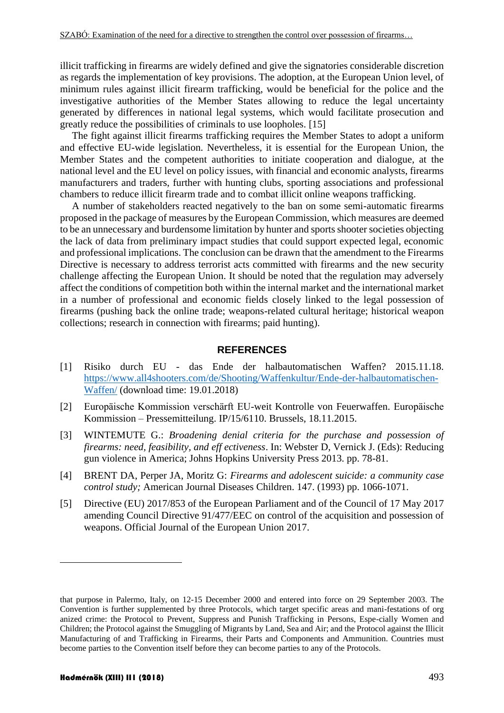illicit trafficking in firearms are widely defined and give the signatories considerable discretion as regards the implementation of key provisions. The adoption, at the European Union level, of minimum rules against illicit firearm trafficking, would be beneficial for the police and the investigative authorities of the Member States allowing to reduce the legal uncertainty generated by differences in national legal systems, which would facilitate prosecution and greatly reduce the possibilities of criminals to use loopholes. [15]

The fight against illicit firearms trafficking requires the Member States to adopt a uniform and effective EU-wide legislation. Nevertheless, it is essential for the European Union, the Member States and the competent authorities to initiate cooperation and dialogue, at the national level and the EU level on policy issues, with financial and economic analysts, firearms manufacturers and traders, further with hunting clubs, sporting associations and professional chambers to reduce illicit firearm trade and to combat illicit online weapons trafficking.

A number of stakeholders reacted negatively to the ban on some semi-automatic firearms proposed in the package of measures by the European Commission, which measures are deemed to be an unnecessary and burdensome limitation by hunter and sports shooter societies objecting the lack of data from preliminary impact studies that could support expected legal, economic and professional implications. The conclusion can be drawn that the amendment to the Firearms Directive is necessary to address terrorist acts committed with firearms and the new security challenge affecting the European Union. It should be noted that the regulation may adversely affect the conditions of competition both within the internal market and the international market in a number of professional and economic fields closely linked to the legal possession of firearms (pushing back the online trade; weapons-related cultural heritage; historical weapon collections; research in connection with firearms; paid hunting).

#### **REFERENCES**

- [1] Risiko durch EU das Ende der halbautomatischen Waffen? 2015.11.18. [https://www.all4shooters.com/de/Shooting/Waffenkultur/Ende-der-halbautomatischen-](https://www.all4shooters.com/de/Shooting/Waffenkultur/Ende-der-halbautomatischen-Waffen/)[Waffen/](https://www.all4shooters.com/de/Shooting/Waffenkultur/Ende-der-halbautomatischen-Waffen/) (download time: 19.01.2018)
- [2] Europäische Kommission verschärft EU-weit Kontrolle von Feuerwaffen. Europäische Kommission – Pressemitteilung. IP/15/6110. Brussels, 18.11.2015.
- [3] WINTEMUTE G.: *Broadening denial criteria for the purchase and possession of firearms: need, feasibility, and eff ectiveness*. In: Webster D, Vernick J. (Eds): Reducing gun violence in America; Johns Hopkins University Press 2013. pp. 78-81.
- [4] BRENT DA, Perper JA, Moritz G: *Firearms and adolescent suicide: a community case control study;* American Journal Diseases Children. 147. (1993) pp. 1066-1071.
- [5] Directive (EU) 2017/853 of the European Parliament and of the Council of 17 May 2017 amending Council Directive 91/477/EEC on control of the acquisition and possession of weapons. Official Journal of the European Union 2017.

<u>.</u>

that purpose in Palermo, Italy, on 12-15 December 2000 and entered into force on 29 September 2003. The Convention is further supplemented by three Protocols, which target specific areas and mani-festations of org anized crime: the Protocol to Prevent, Suppress and Punish Trafficking in Persons, Espe-cially Women and Children; the Protocol against the Smuggling of Migrants by Land, Sea and Air; and the Protocol against the Illicit Manufacturing of and Trafficking in Firearms, their Parts and Components and Ammunition. Countries must become parties to the Convention itself before they can become parties to any of the Protocols.